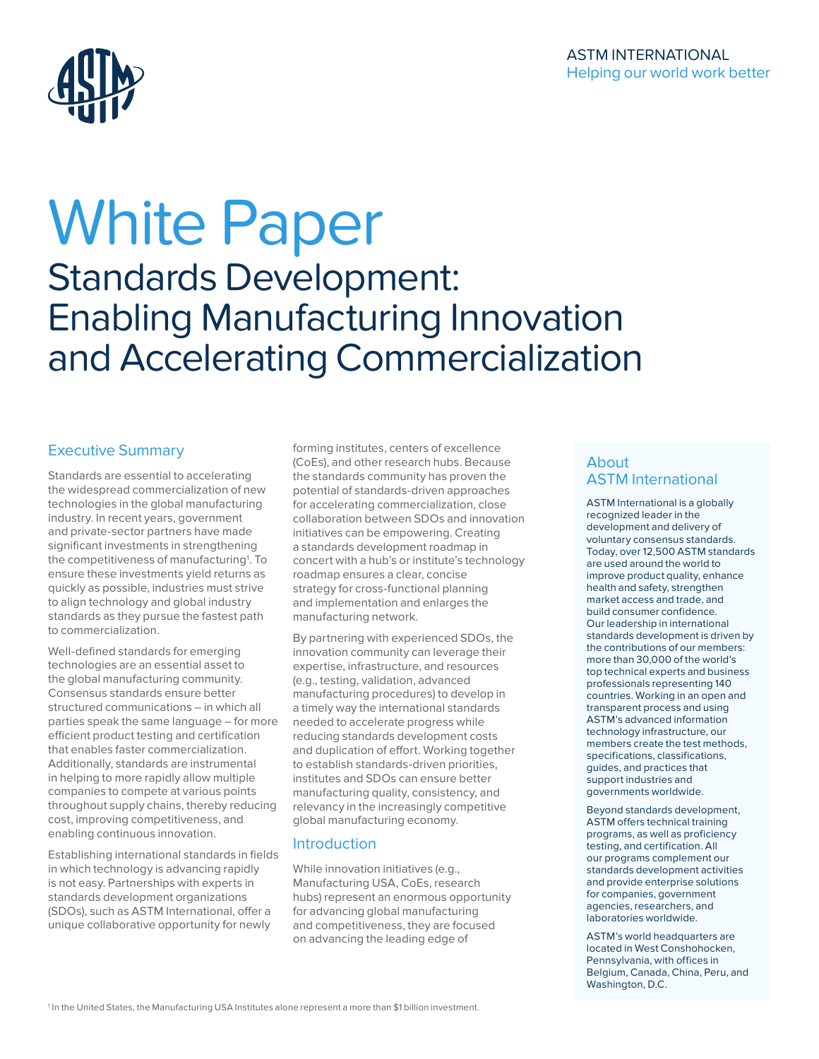

# White Paper Standards Development: Enabling Manufacturing Innovation and Accelerating Commercialization

### Executive Summary

Standards are essential to accelerating the widespread commercialization of new technologies in the global manufacturing industry. In recent years, government and private-sector partners have made significant investments in strengthening the competitiveness of manufacturing<sup>1</sup>. To ensure these investments yield returns as quickly as possible, industries must strive to align technology and global industry standards as they pursue the fastest path to commercialization.

Well-defined standards for emerging technologies are an essential asset to the global manufacturing community. Consensus standards ensure better structured communications – in which all parties speak the same language – for more efficient product testing and certification that enables faster commercialization. Additionally, standards are instrumental in helping to more rapidly allow multiple companies to compete at various points throughout supply chains, thereby reducing cost, improving competitiveness, and enabling continuous innovation.

Establishing international standards in fields in which technology is advancing rapidly is not easy. Partnerships with experts in standards development organizations (SDOs), such as ASTM International, offer a unique collaborative opportunity for newly

forming institutes, centers of excellence (CoEs), and other research hubs. Because the standards community has proven the potential of standards-driven approaches for accelerating commercialization, close collaboration between SDOs and innovation initiatives can be empowering. Creating a standards development roadmap in concert with a hub's or institute's technology roadmap ensures a clear, concise strategy for cross-functional planning and implementation and enlarges the manufacturing network.

By partnering with experienced SDOs, the innovation community can leverage their expertise, infrastructure, and resources (e.g., testing, validation, advanced manufacturing procedures) to develop in a timely way the international standards needed to accelerate progress while reducing standards development costs and duplication of effort. Working together to establish standards-driven priorities, institutes and SDOs can ensure better manufacturing quality, consistency, and relevancy in the increasingly competitive global manufacturing economy.

### Introduction

While innovation initiatives (e.g., Manufacturing USA, CoEs, research hubs) represent an enormous opportunity for advancing global manufacturing and competitiveness, they are focused on advancing the leading edge of

### About ASTM International

ASTM International is a globally recognized leader in the development and delivery of voluntary consensus standards. Today, over 12,500 ASTM standards are used around the world to improve product quality, enhance health and safety, strengthen market access and trade, and build consumer confidence. Our leadership in international standards development is driven by the contributions of our members: more than 30,000 of the world's top technical experts and business professionals representing 140 countries. Working in an open and transparent process and using ASTM's advanced information technology infrastructure, our members create the test methods, specifications, classifications, guides, and practices that support industries and governments worldwide.

Beyond standards development, ASTM offers technical training programs, as well as proficiency testing, and certification. All our programs complement our standards development activities and provide enterprise solutions for companies, government agencies, researchers, and laboratories worldwide.

ASTM's world headquarters are located in West Conshohocken, Pennsylvania, with offices in Belgium, Canada, China, Peru, and Washington, D.C.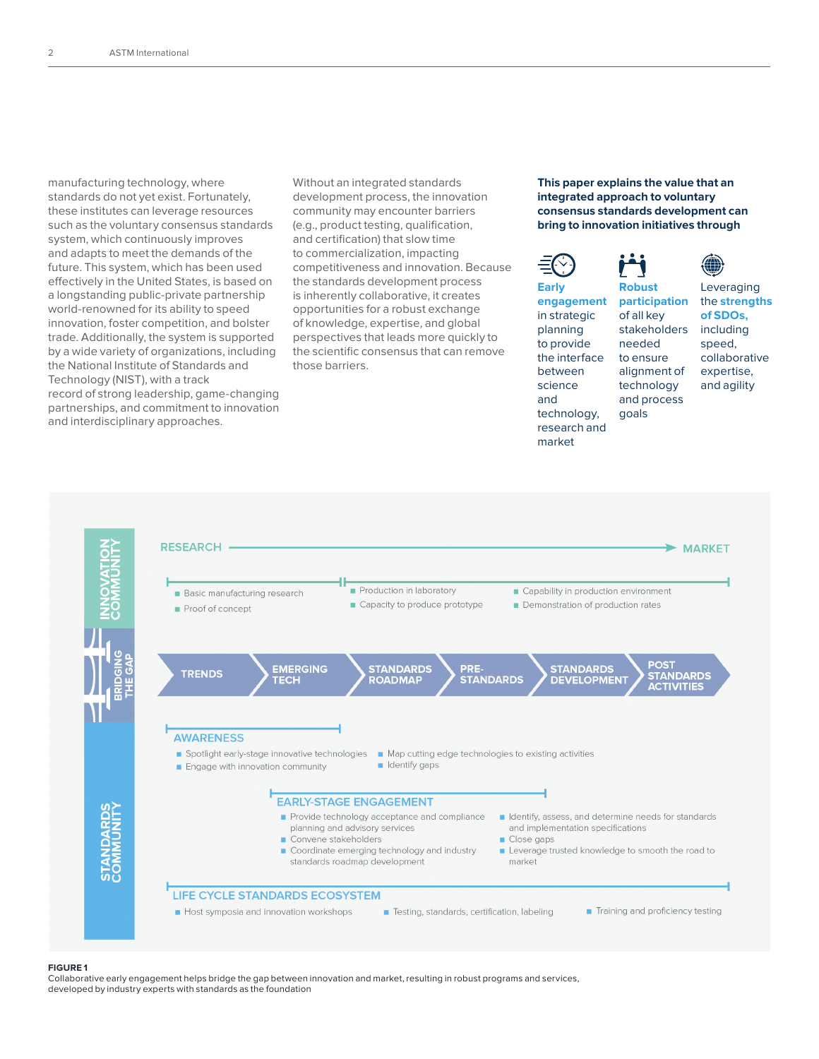manufacturing technology, where standards do not yet exist. Fortunately, these institutes can leverage resources such as the voluntary consensus standards system, which continuously improves and adapts to meet the demands of the future. This system, which has been used effectively in the United States, is based on a longstanding public-private partnership world-renowned for its ability to speed innovation, foster competition, and bolster trade. Additionally, the system is supported by a wide variety of organizations, including the National Institute of Standards and Technology (NIST), with a track record of strong leadership, game-changing partnerships, and commitment to innovation and interdisciplinary approaches.

Without an integrated standards development process, the innovation community may encounter barriers (e.g., product testing, qualification, and certification) that slow time to commercialization, impacting competitiveness and innovation. Because the standards development process is inherently collaborative, it creates opportunities for a robust exchange of knowledge, expertise, and global perspectives that leads more quickly to the scientific consensus that can remove those barriers.

### **This paper explains the value that an integrated approach to voluntary consensus standards development can bring to innovation initiatives through**







#### **FIGURE 1**

Collaborative early engagement helps bridge the gap between innovation and market, resulting in robust programs and services, developed by industry experts with standards as the foundation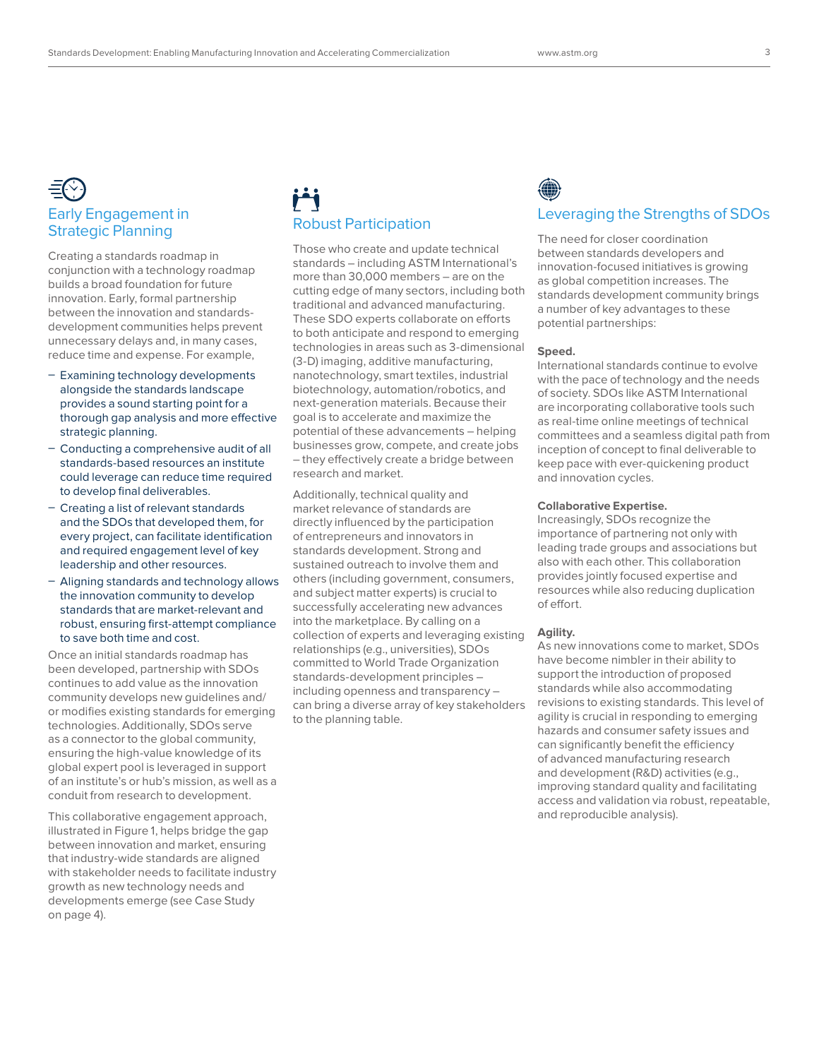## Early Engagement in Strategic Planning

Creating a standards roadmap in conjunction with a technology roadmap builds a broad foundation for future innovation. Early, formal partnership between the innovation and standardsdevelopment communities helps prevent unnecessary delays and, in many cases, reduce time and expense. For example,

- Examining technology developments alongside the standards landscape provides a sound starting point for a thorough gap analysis and more effective strategic planning.
- Conducting a comprehensive audit of all standards-based resources an institute could leverage can reduce time required to develop final deliverables.
- Creating a list of relevant standards and the SDOs that developed them, for every project, can facilitate identification and required engagement level of key leadership and other resources.
- Aligning standards and technology allows the innovation community to develop standards that are market-relevant and robust, ensuring first-attempt compliance to save both time and cost.

Once an initial standards roadmap has been developed, partnership with SDOs continues to add value as the innovation community develops new guidelines and/ or modifies existing standards for emerging technologies. Additionally, SDOs serve as a connector to the global community, ensuring the high-value knowledge of its global expert pool is leveraged in support of an institute's or hub's mission, as well as a conduit from research to development.

This collaborative engagement approach, illustrated in Figure 1, helps bridge the gap between innovation and market, ensuring that industry-wide standards are aligned with stakeholder needs to facilitate industry growth as new technology needs and developments emerge (see Case Study on page 4).

# Robust Participation

Those who create and update technical standards – including ASTM International's more than 30,000 members – are on the cutting edge of many sectors, including both traditional and advanced manufacturing. These SDO experts collaborate on efforts to both anticipate and respond to emerging technologies in areas such as 3-dimensional (3-D) imaging, additive manufacturing, nanotechnology, smart textiles, industrial biotechnology, automation/robotics, and next-generation materials. Because their goal is to accelerate and maximize the potential of these advancements – helping businesses grow, compete, and create jobs – they effectively create a bridge between research and market.

Additionally, technical quality and market relevance of standards are directly influenced by the participation of entrepreneurs and innovators in standards development. Strong and sustained outreach to involve them and others (including government, consumers, and subject matter experts) is crucial to successfully accelerating new advances into the marketplace. By calling on a collection of experts and leveraging existing relationships (e.g., universities), SDOs committed to World Trade Organization standards-development principles – including openness and transparency – can bring a diverse array of key stakeholders to the planning table.

## Leveraging the Strengths of SDOs

The need for closer coordination between standards developers and innovation-focused initiatives is growing as global competition increases. The standards development community brings a number of key advantages to these potential partnerships:

### **Speed.**

International standards continue to evolve with the pace of technology and the needs of society. SDOs like ASTM International are incorporating collaborative tools such as real-time online meetings of technical committees and a seamless digital path from inception of concept to final deliverable to keep pace with ever-quickening product and innovation cycles.

### **Collaborative Expertise.**

Increasingly, SDOs recognize the importance of partnering not only with leading trade groups and associations but also with each other. This collaboration provides jointly focused expertise and resources while also reducing duplication of effort.

### **Agility.**

As new innovations come to market, SDOs have become nimbler in their ability to support the introduction of proposed standards while also accommodating revisions to existing standards. This level of agility is crucial in responding to emerging hazards and consumer safety issues and can significantly benefit the efficiency of advanced manufacturing research and development (R&D) activities (e.g., improving standard quality and facilitating access and validation via robust, repeatable, and reproducible analysis).